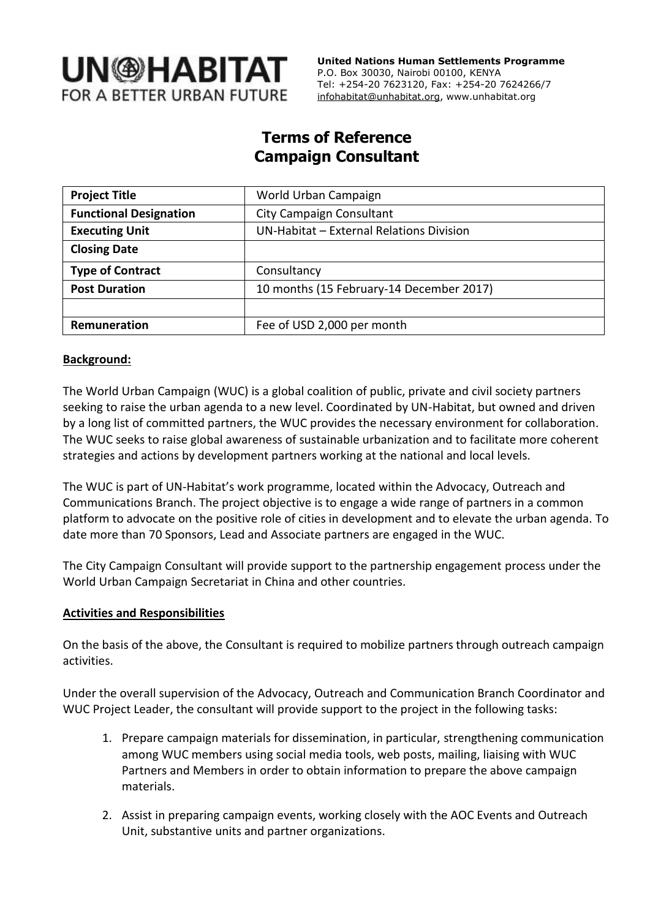

 **United Nations Human Settlements Programme** P.O. Box 30030, Nairobi 00100, KENYA Tel: +254-20 7623120, Fax: +254-20 7624266/7 [infohabitat@unhabitat.org,](mailto:infohabitat@unhabitat.org) www.unhabitat.org

# **Terms of Reference Campaign Consultant**

| <b>Project Title</b>          | World Urban Campaign                     |
|-------------------------------|------------------------------------------|
| <b>Functional Designation</b> | <b>City Campaign Consultant</b>          |
| <b>Executing Unit</b>         | UN-Habitat - External Relations Division |
| <b>Closing Date</b>           |                                          |
| <b>Type of Contract</b>       | Consultancy                              |
| <b>Post Duration</b>          | 10 months (15 February-14 December 2017) |
|                               |                                          |
| Remuneration                  | Fee of USD 2,000 per month               |

#### **Background:**

The World Urban Campaign (WUC) is a global coalition of public, private and civil society partners seeking to raise the urban agenda to a new level. Coordinated by UN-Habitat, but owned and driven by a long list of committed partners, the WUC provides the necessary environment for collaboration. The WUC seeks to raise global awareness of sustainable urbanization and to facilitate more coherent strategies and actions by development partners working at the national and local levels.

The WUC is part of UN-Habitat's work programme, located within the Advocacy, Outreach and Communications Branch. The project objective is to engage a wide range of partners in a common platform to advocate on the positive role of cities in development and to elevate the urban agenda. To date more than 70 Sponsors, Lead and Associate partners are engaged in the WUC.

The City Campaign Consultant will provide support to the partnership engagement process under the World Urban Campaign Secretariat in China and other countries.

#### **Activities and Responsibilities**

On the basis of the above, the Consultant is required to mobilize partners through outreach campaign activities.

Under the overall supervision of the Advocacy, Outreach and Communication Branch Coordinator and WUC Project Leader, the consultant will provide support to the project in the following tasks:

- 1. Prepare campaign materials for dissemination, in particular, strengthening communication among WUC members using social media tools, web posts, mailing, liaising with WUC Partners and Members in order to obtain information to prepare the above campaign materials.
- 2. Assist in preparing campaign events, working closely with the AOC Events and Outreach Unit, substantive units and partner organizations.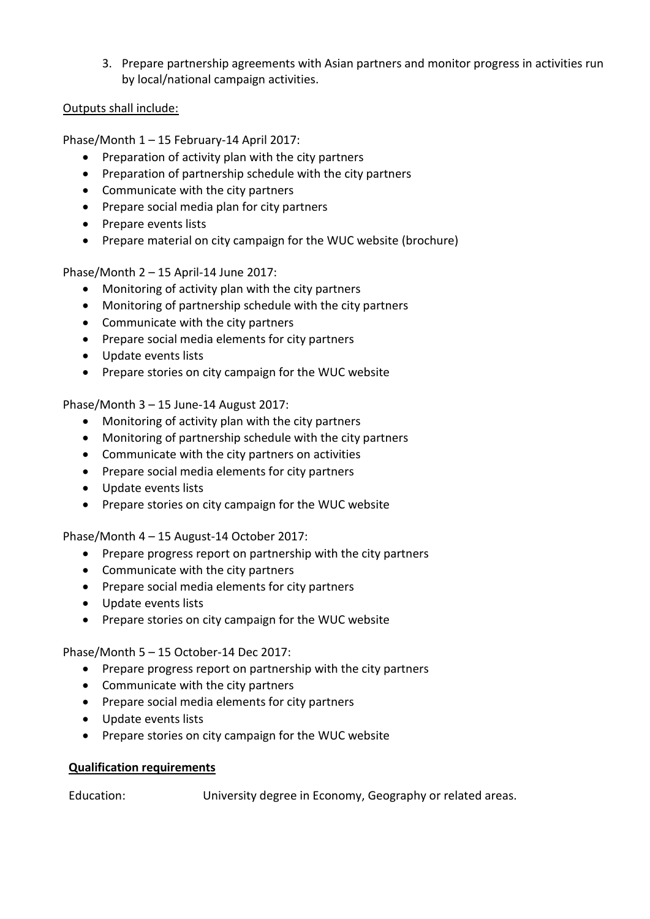3. Prepare partnership agreements with Asian partners and monitor progress in activities run by local/national campaign activities.

### Outputs shall include:

Phase/Month 1 – 15 February-14 April 2017:

- Preparation of activity plan with the city partners
- Preparation of partnership schedule with the city partners
- Communicate with the city partners
- Prepare social media plan for city partners
- Prepare events lists
- Prepare material on city campaign for the WUC website (brochure)

Phase/Month 2 – 15 April-14 June 2017:

- Monitoring of activity plan with the city partners
- Monitoring of partnership schedule with the city partners
- Communicate with the city partners
- Prepare social media elements for city partners
- Update events lists
- Prepare stories on city campaign for the WUC website

Phase/Month 3 – 15 June-14 August 2017:

- Monitoring of activity plan with the city partners
- Monitoring of partnership schedule with the city partners
- Communicate with the city partners on activities
- Prepare social media elements for city partners
- Update events lists
- Prepare stories on city campaign for the WUC website

Phase/Month 4 – 15 August-14 October 2017:

- Prepare progress report on partnership with the city partners
- Communicate with the city partners
- Prepare social media elements for city partners
- Update events lists
- Prepare stories on city campaign for the WUC website

Phase/Month 5 – 15 October-14 Dec 2017:

- Prepare progress report on partnership with the city partners
- Communicate with the city partners
- Prepare social media elements for city partners
- Update events lists
- Prepare stories on city campaign for the WUC website

### **Qualification requirements**

Education: University degree in Economy, Geography or related areas.